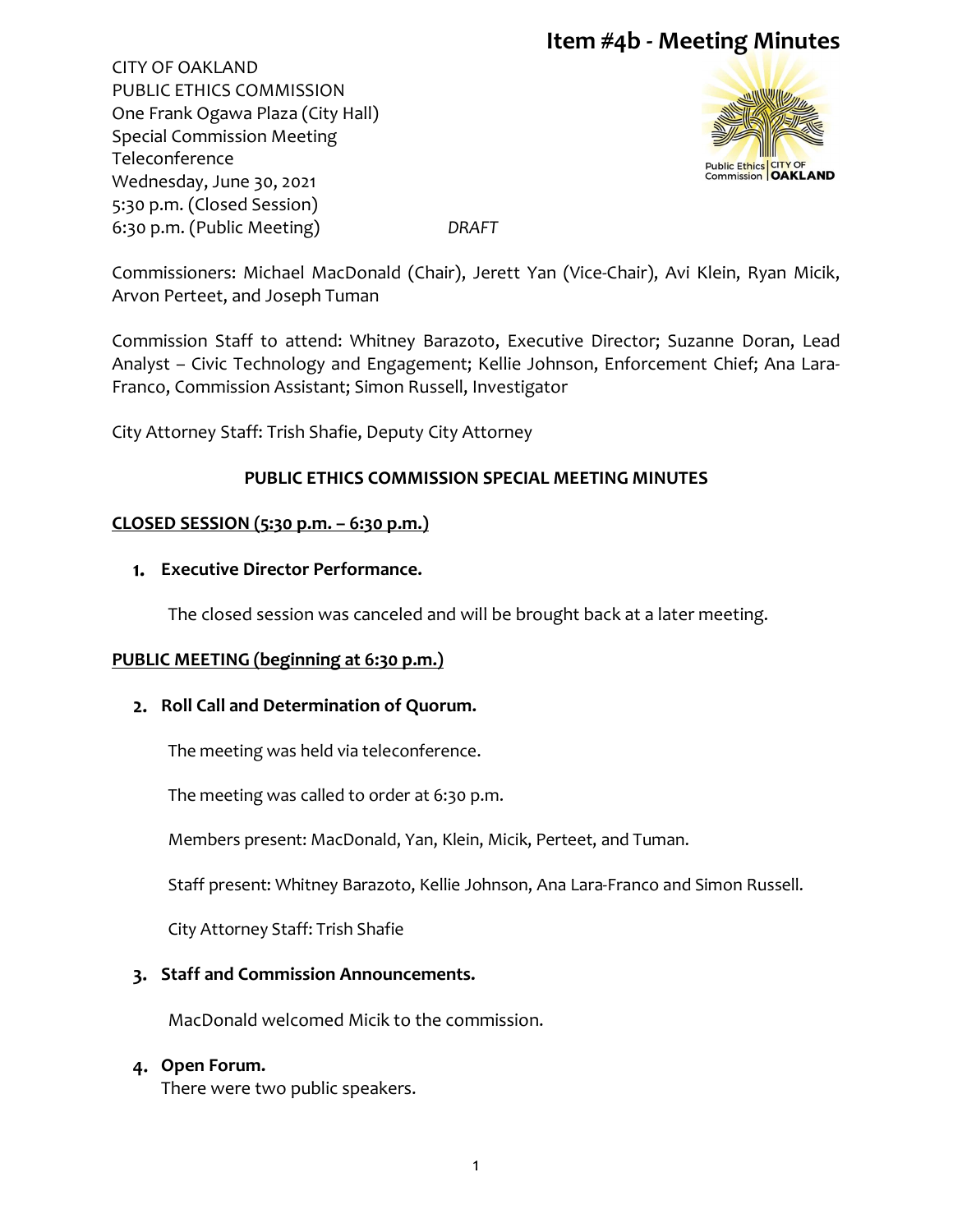# **Item #4b - Meeting Minutes**

CITY OF OAKLAND PUBLIC ETHICS COMMISSION One Frank Ogawa Plaza (City Hall) Special Commission Meeting Teleconference Wednesday, June 30, 2021 5:30 p.m. (Closed Session) 6:30 p.m. (Public Meeting) *DRAFT*



Commissioners: Michael MacDonald (Chair), Jerett Yan (Vice-Chair), Avi Klein, Ryan Micik, Arvon Perteet, and Joseph Tuman

Commission Staff to attend: Whitney Barazoto, Executive Director; Suzanne Doran, Lead Analyst – Civic Technology and Engagement; Kellie Johnson, Enforcement Chief; Ana Lara-Franco, Commission Assistant; Simon Russell, Investigator

City Attorney Staff: Trish Shafie, Deputy City Attorney

# **PUBLIC ETHICS COMMISSION SPECIAL MEETING MINUTES**

### **CLOSED SESSION (5:30 p.m. – 6:30 p.m.)**

### **Executive Director Performance.**

The closed session was canceled and will be brought back at a later meeting.

# **PUBLIC MEETING (beginning at 6:30 p.m.)**

# **Roll Call and Determination of Quorum.**

The meeting was held via teleconference.

The meeting was called to order at 6:30 p.m.

Members present: MacDonald, Yan, Klein, Micik, Perteet, and Tuman.

Staff present: Whitney Barazoto, Kellie Johnson, Ana Lara-Franco and Simon Russell.

City Attorney Staff: Trish Shafie

# **Staff and Commission Announcements.**

MacDonald welcomed Micik to the commission.

#### **Open Forum.**

There were two public speakers.